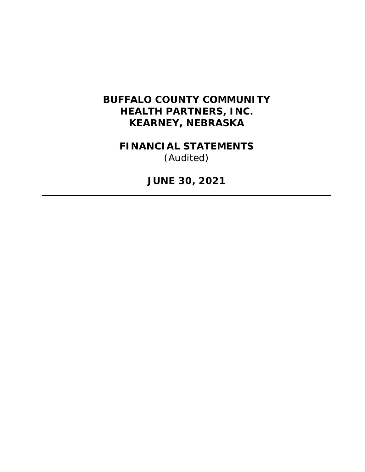# **BUFFALO COUNTY COMMUNITY HEALTH PARTNERS, INC. KEARNEY, NEBRASKA**

**FINANCIAL STATEMENTS**  *(Audited)* 

**JUNE 30, 2021**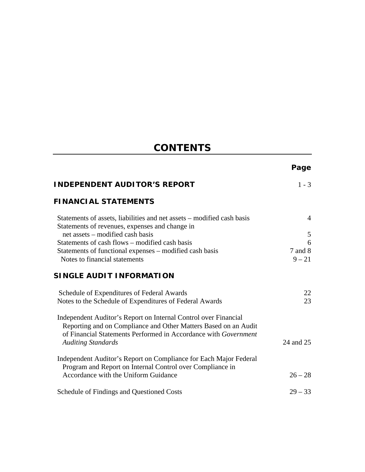# **CONTENTS**

|                                                                                                                                                                                                                                    | Page                |
|------------------------------------------------------------------------------------------------------------------------------------------------------------------------------------------------------------------------------------|---------------------|
| <b>INDEPENDENT AUDITOR'S REPORT</b>                                                                                                                                                                                                | $1 - 3$             |
| <b>FINANCIAL STATEMENTS</b>                                                                                                                                                                                                        |                     |
| Statements of assets, liabilities and net assets – modified cash basis<br>Statements of revenues, expenses and change in                                                                                                           | $\overline{4}$      |
| net assets – modified cash basis                                                                                                                                                                                                   | 5                   |
| Statements of cash flows – modified cash basis                                                                                                                                                                                     | 6                   |
| Statements of functional expenses - modified cash basis<br>Notes to financial statements                                                                                                                                           | 7 and 8<br>$9 - 21$ |
|                                                                                                                                                                                                                                    |                     |
| SINGLE AUDIT INFORMATION                                                                                                                                                                                                           |                     |
| Schedule of Expenditures of Federal Awards                                                                                                                                                                                         | 22                  |
| Notes to the Schedule of Expenditures of Federal Awards                                                                                                                                                                            | 23                  |
| Independent Auditor's Report on Internal Control over Financial<br>Reporting and on Compliance and Other Matters Based on an Audit<br>of Financial Statements Performed in Accordance with Government<br><b>Auditing Standards</b> | 24 and 25           |
| Independent Auditor's Report on Compliance for Each Major Federal<br>Program and Report on Internal Control over Compliance in                                                                                                     |                     |
| Accordance with the Uniform Guidance                                                                                                                                                                                               | $26 - 28$           |
| Schedule of Findings and Questioned Costs                                                                                                                                                                                          | $29 - 33$           |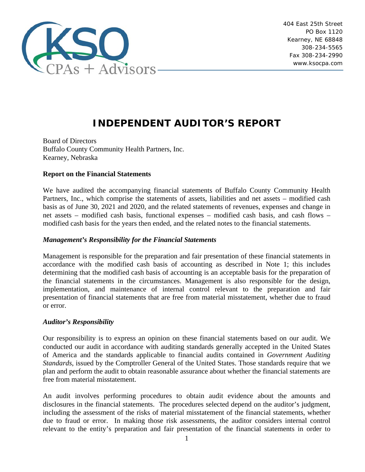

# **INDEPENDENT AUDITOR'S REPORT**

Board of Directors Buffalo County Community Health Partners, Inc. Kearney, Nebraska

# **Report on the Financial Statements**

We have audited the accompanying financial statements of Buffalo County Community Health Partners, Inc., which comprise the statements of assets, liabilities and net assets – modified cash basis as of June 30, 2021 and 2020, and the related statements of revenues, expenses and change in net assets – modified cash basis, functional expenses – modified cash basis, and cash flows – modified cash basis for the years then ended, and the related notes to the financial statements.

# *Management's Responsibility for the Financial Statements*

Management is responsible for the preparation and fair presentation of these financial statements in accordance with the modified cash basis of accounting as described in Note 1; this includes determining that the modified cash basis of accounting is an acceptable basis for the preparation of the financial statements in the circumstances. Management is also responsible for the design, implementation, and maintenance of internal control relevant to the preparation and fair presentation of financial statements that are free from material misstatement, whether due to fraud or error.

# *Auditor's Responsibility*

Our responsibility is to express an opinion on these financial statements based on our audit. We conducted our audit in accordance with auditing standards generally accepted in the United States of America and the standards applicable to financial audits contained in *Government Auditing Standards*, issued by the Comptroller General of the United States. Those standards require that we plan and perform the audit to obtain reasonable assurance about whether the financial statements are free from material misstatement.

An audit involves performing procedures to obtain audit evidence about the amounts and disclosures in the financial statements. The procedures selected depend on the auditor's judgment, including the assessment of the risks of material misstatement of the financial statements, whether due to fraud or error. In making those risk assessments, the auditor considers internal control relevant to the entity's preparation and fair presentation of the financial statements in order to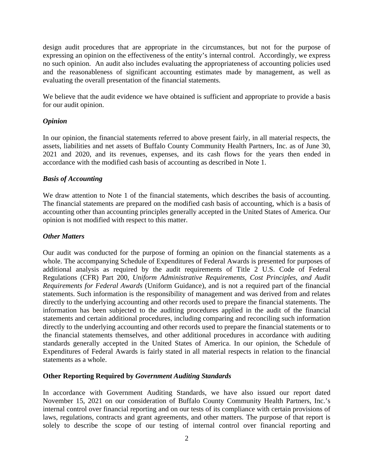design audit procedures that are appropriate in the circumstances, but not for the purpose of expressing an opinion on the effectiveness of the entity's internal control. Accordingly, we express no such opinion. An audit also includes evaluating the appropriateness of accounting policies used and the reasonableness of significant accounting estimates made by management, as well as evaluating the overall presentation of the financial statements.

We believe that the audit evidence we have obtained is sufficient and appropriate to provide a basis for our audit opinion.

# *Opinion*

In our opinion, the financial statements referred to above present fairly, in all material respects, the assets, liabilities and net assets of Buffalo County Community Health Partners, Inc. as of June 30, 2021 and 2020, and its revenues, expenses, and its cash flows for the years then ended in accordance with the modified cash basis of accounting as described in Note 1.

# *Basis of Accounting*

We draw attention to Note 1 of the financial statements, which describes the basis of accounting. The financial statements are prepared on the modified cash basis of accounting, which is a basis of accounting other than accounting principles generally accepted in the United States of America. Our opinion is not modified with respect to this matter.

# *Other Matters*

Our audit was conducted for the purpose of forming an opinion on the financial statements as a whole. The accompanying Schedule of Expenditures of Federal Awards is presented for purposes of additional analysis as required by the audit requirements of Title 2 U.S. Code of Federal Regulations (CFR) Part 200, *Uniform Administrative Requirements, Cost Principles, and Audit Requirements for Federal Awards* (Uniform Guidance), and is not a required part of the financial statements. Such information is the responsibility of management and was derived from and relates directly to the underlying accounting and other records used to prepare the financial statements. The information has been subjected to the auditing procedures applied in the audit of the financial statements and certain additional procedures, including comparing and reconciling such information directly to the underlying accounting and other records used to prepare the financial statements or to the financial statements themselves, and other additional procedures in accordance with auditing standards generally accepted in the United States of America. In our opinion, the Schedule of Expenditures of Federal Awards is fairly stated in all material respects in relation to the financial statements as a whole.

# **Other Reporting Required by** *Government Auditing Standards*

In accordance with Government Auditing Standards, we have also issued our report dated November 15, 2021 on our consideration of Buffalo County Community Health Partners, Inc.'s internal control over financial reporting and on our tests of its compliance with certain provisions of laws, regulations, contracts and grant agreements, and other matters. The purpose of that report is solely to describe the scope of our testing of internal control over financial reporting and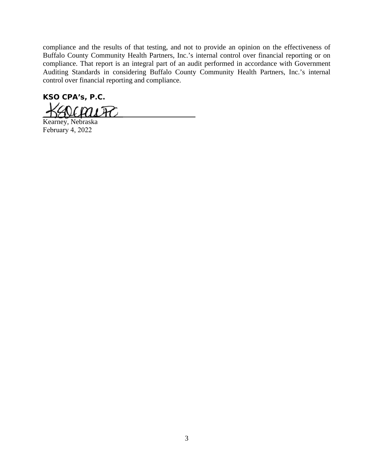compliance and the results of that testing, and not to provide an opinion on the effectiveness of Buffalo County Community Health Partners, Inc.'s internal control over financial reporting or on compliance. That report is an integral part of an audit performed in accordance with Government Auditing Standards in considering Buffalo County Community Health Partners, Inc.'s internal control over financial reporting and compliance.

**KSO CPA's, P.C.**   $\mathcal{U}$ m

Kearney, Nebraska February 4, 2022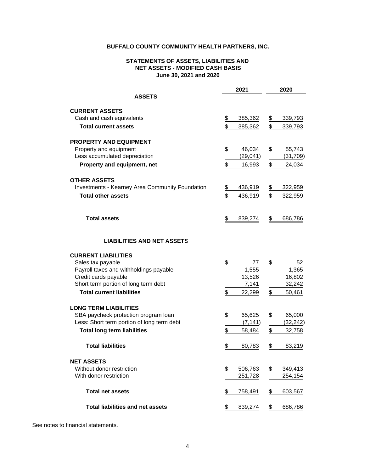#### **STATEMENTS OF ASSETS, LIABILITIES AND June 30, 2021 and 2020 NET ASSETS - MODIFIED CASH BASIS**

|                                                              | 2021            |               | 2020             |
|--------------------------------------------------------------|-----------------|---------------|------------------|
| <b>ASSETS</b>                                                |                 |               |                  |
| <b>CURRENT ASSETS</b>                                        |                 |               |                  |
| Cash and cash equivalents                                    | \$<br>385,362   | $\frac{2}{3}$ | 339,793          |
| <b>Total current assets</b>                                  | \$<br>385,362   | \$            | 339,793          |
| <b>PROPERTY AND EQUIPMENT</b>                                |                 |               |                  |
| Property and equipment                                       | \$<br>46,034    | \$            | 55,743           |
| Less accumulated depreciation                                | (29,041)        |               | (31, 709)        |
| Property and equipment, net                                  | \$<br>16,993    | \$            | 24,034           |
| <b>OTHER ASSETS</b>                                          |                 |               |                  |
| <b>Investments - Kearney Area Community Foundation</b>       | \$<br>436,919   | \$            | 322,959          |
| <b>Total other assets</b>                                    | \$<br>436,919   | \$            | 322,959          |
| <b>Total assets</b>                                          | \$<br>839,274   | \$            | 686,786          |
|                                                              |                 |               |                  |
| <b>LIABILITIES AND NET ASSETS</b>                            |                 |               |                  |
| <b>CURRENT LIABILITIES</b>                                   |                 |               |                  |
| Sales tax payable                                            | \$<br>77        | \$            | 52               |
| Payroll taxes and withholdings payable                       | 1,555           |               | 1,365            |
| Credit cards payable<br>Short term portion of long term debt | 13,526<br>7,141 |               | 16,802<br>32,242 |
| <b>Total current liabilities</b>                             |                 |               |                  |
|                                                              | \$<br>22,299    | \$            | 50,461           |
| <b>LONG TERM LIABILITIES</b>                                 |                 |               |                  |
| SBA paycheck protection program loan                         | \$<br>65,625    | \$            | 65,000           |
| Less: Short term portion of long term debt                   | (7, 141)        |               | (32, 242)        |
| <b>Total long term liabilities</b>                           | \$<br>58,484    | \$            | 32,758           |
| <b>Total liabilities</b>                                     | \$<br>80,783    | \$            | 83,219           |
| <b>NET ASSETS</b>                                            |                 |               |                  |
| Without donor restriction                                    | \$<br>506,763   | \$            | 349,413          |
| With donor restriction                                       | 251,728         |               | 254,154          |
| <b>Total net assets</b>                                      | \$<br>758,491   | \$            | 603,567          |
| <b>Total liabilities and net assets</b>                      | \$<br>839,274   | \$            | 686,786          |

See notes to financial statements.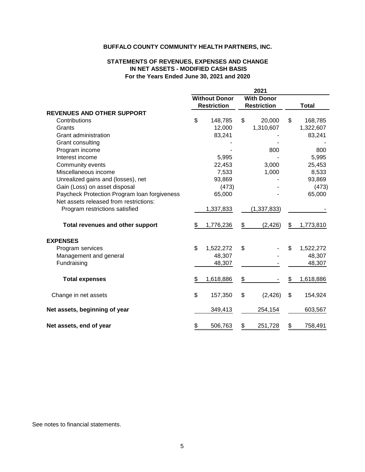#### **STATEMENTS OF REVENUES, EXPENSES AND CHANGE For the Years Ended June 30, 2021 and 2020 IN NET ASSETS - MODIFIED CASH BASIS**

|                                              |                      | 2021               |                 |
|----------------------------------------------|----------------------|--------------------|-----------------|
|                                              | <b>Without Donor</b> | <b>With Donor</b>  |                 |
|                                              | <b>Restriction</b>   | <b>Restriction</b> | <b>Total</b>    |
| <b>REVENUES AND OTHER SUPPORT</b>            |                      |                    |                 |
| Contributions                                | \$<br>148,785        | \$<br>20,000       | \$<br>168,785   |
| Grants                                       | 12,000               | 1,310,607          | 1,322,607       |
| Grant administration                         | 83,241               |                    | 83,241          |
| Grant consulting                             |                      |                    |                 |
| Program income                               |                      | 800                | 800             |
| Interest income                              | 5,995                |                    | 5,995           |
| Community events                             | 22,453               | 3,000              | 25,453          |
| Miscellaneous income                         | 7,533                | 1,000              | 8,533           |
| Unrealized gains and (losses), net           | 93,869               |                    | 93,869          |
| Gain (Loss) on asset disposal                | (473)                |                    | (473)           |
| Paycheck Protection Program Ioan forgiveness | 65,000               |                    | 65,000          |
| Net assets released from restrictions:       |                      |                    |                 |
| Program restrictions satisfied               | 1,337,833            | (1, 337, 833)      |                 |
| Total revenues and other support             | \$<br>1,776,236      | \$<br>(2, 426)     | \$<br>1,773,810 |
| <b>EXPENSES</b>                              |                      |                    |                 |
| Program services                             | \$<br>1,522,272      | \$                 | \$<br>1,522,272 |
| Management and general                       | 48,307               |                    | 48,307          |
| Fundraising                                  | 48,307               |                    | 48,307          |
| <b>Total expenses</b>                        | \$<br>1,618,886      | \$                 | \$<br>1,618,886 |
| Change in net assets                         | \$<br>157,350        | \$<br>(2, 426)     | \$<br>154,924   |
| Net assets, beginning of year                | 349,413              | 254,154            | 603,567         |
| Net assets, end of year                      | \$<br>506,763        | \$<br>251,728      | \$<br>758,491   |

See notes to financial statements.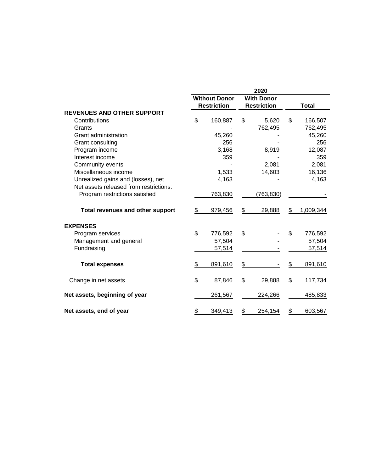|                                         |                                            | 2020                                    |               |              |
|-----------------------------------------|--------------------------------------------|-----------------------------------------|---------------|--------------|
|                                         | <b>Without Donor</b><br><b>Restriction</b> | <b>With Donor</b><br><b>Restriction</b> |               | <b>Total</b> |
| <b>REVENUES AND OTHER SUPPORT</b>       |                                            |                                         |               |              |
| Contributions                           | \$<br>160,887                              | \$<br>5,620                             | \$            | 166,507      |
| Grants                                  |                                            | 762,495                                 |               | 762,495      |
| Grant administration                    | 45,260                                     |                                         |               | 45,260       |
| Grant consulting                        | 256                                        |                                         |               | 256          |
| Program income                          | 3,168                                      | 8,919                                   |               | 12,087       |
| Interest income                         | 359                                        |                                         |               | 359          |
| Community events                        |                                            | 2,081                                   |               | 2,081        |
| Miscellaneous income                    | 1,533                                      | 14,603                                  |               | 16,136       |
| Unrealized gains and (losses), net      | 4,163                                      |                                         |               | 4,163        |
| Net assets released from restrictions:  |                                            |                                         |               |              |
| Program restrictions satisfied          | 763,830                                    | (763, 830)                              |               |              |
| <b>Total revenues and other support</b> | \$<br>979,456                              | \$<br>29,888                            | \$            | 1,009,344    |
| <b>EXPENSES</b>                         |                                            |                                         |               |              |
| Program services                        | \$<br>776,592                              | \$                                      | \$            | 776,592      |
| Management and general                  | 57,504                                     |                                         |               | 57,504       |
| Fundraising                             | 57,514                                     |                                         |               | 57,514       |
| <b>Total expenses</b>                   | \$<br>891,610                              | \$                                      | \$            | 891,610      |
| Change in net assets                    | \$<br>87,846                               | \$<br>29,888                            | \$            | 117,734      |
| Net assets, beginning of year           | 261,567                                    | 224,266                                 |               | 485,833      |
| Net assets, end of year                 | \$<br>349,413                              | \$<br>254,154                           | $\frac{2}{3}$ | 603,567      |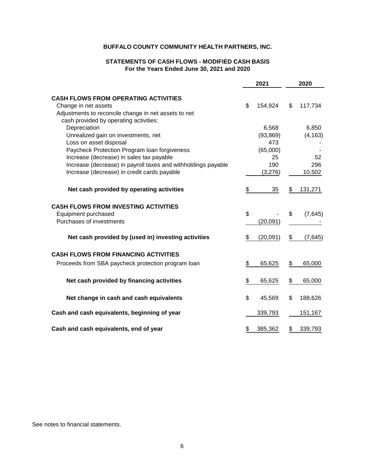## **STATEMENTS OF CASH FLOWS - MODIFIED CASH BASIS For the Years Ended June 30, 2021 and 2020**

|                                                               | 2021           | 2020          |
|---------------------------------------------------------------|----------------|---------------|
| <b>CASH FLOWS FROM OPERATING ACTIVITIES</b>                   |                |               |
| Change in net assets                                          | \$<br>154,924  | \$<br>117,734 |
| Adjustments to reconcile change in net assets to net          |                |               |
| cash provided by operating activities:                        |                |               |
| Depreciation                                                  | 6,568          | 6,850         |
| Unrealized gain on investments, net                           | (93, 869)      | (4, 163)      |
| Loss on asset disposal                                        | 473            |               |
| Paycheck Protection Program loan forgiveness                  | (65,000)       |               |
| Increase (decrease) in sales tax payable                      | 25             | 52            |
| Increase (decrease) in payroll taxes and withholdings payable | 190            | 296           |
| Increase (decrease) in credit cards payable                   | (3,276)        | 10,502        |
| Net cash provided by operating activities                     | \$<br>35       | \$<br>131,271 |
| <b>CASH FLOWS FROM INVESTING ACTIVITIES</b>                   |                |               |
| Equipment purchased                                           | \$             | \$<br>(7,645) |
| Purchases of investments                                      | (20, 091)      |               |
| Net cash provided by (used in) investing activities           | \$<br>(20,091) | \$<br>(7,645) |
| <b>CASH FLOWS FROM FINANCING ACTIVITIES</b>                   |                |               |
| Proceeds from SBA paycheck protection program loan            | \$<br>65,625   | \$<br>65,000  |
| Net cash provided by financing activities                     | \$<br>65,625   | \$<br>65,000  |
|                                                               |                |               |
| Net change in cash and cash equivalents                       | \$<br>45,569   | \$<br>188,626 |
| Cash and cash equivalents, beginning of year                  | 339,793        | 151,167       |
| Cash and cash equivalents, end of year                        | \$<br>385,362  | \$<br>339,793 |

See notes to financial statements.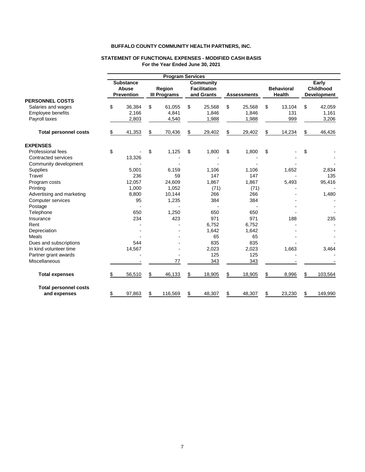|                              |                                                | <b>Program Services</b>       |                                                       |                    |                                    |                                                 |
|------------------------------|------------------------------------------------|-------------------------------|-------------------------------------------------------|--------------------|------------------------------------|-------------------------------------------------|
|                              | <b>Substance</b><br>Abuse<br><b>Prevention</b> | Region<br><b>III Programs</b> | <b>Community</b><br><b>Facilitation</b><br>and Grants | <b>Assessments</b> | <b>Behavioral</b><br><b>Health</b> | Early<br><b>Childhood</b><br><b>Development</b> |
| <b>PERSONNEL COSTS</b>       |                                                |                               |                                                       |                    |                                    |                                                 |
| Salaries and wages           | \$<br>36,384                                   | \$<br>61,055                  | \$<br>25,568                                          | \$<br>25,568       | \$<br>13,104                       | \$<br>42,059                                    |
| Employee benefits            | 2,166                                          | 4,841                         | 1,846                                                 | 1,846              | 131                                | 1,161                                           |
| Payroll taxes                | 2,803                                          | 4,540                         | 1,988                                                 | 1,988              | 999                                | 3,206                                           |
| <b>Total personnel costs</b> | \$<br>41,353                                   | \$<br>70,436                  | \$<br>29,402                                          | \$<br>29,402       | \$<br>14,234                       | \$<br>46,426                                    |
| <b>EXPENSES</b>              |                                                |                               |                                                       |                    |                                    |                                                 |
| Professional fees            | \$                                             | \$<br>1,125                   | \$<br>1,800                                           | \$<br>1,800        | \$                                 | \$                                              |
| Contracted services          | 13,326                                         |                               |                                                       |                    |                                    |                                                 |
| Community development        |                                                |                               |                                                       |                    |                                    |                                                 |
| <b>Supplies</b>              | 5,001                                          | 6,159                         | 1,106                                                 | 1,106              | 1,652                              | 2,834                                           |
| Travel                       | 236                                            | 59                            | 147                                                   | 147                |                                    | 135                                             |
| Program costs                | 12,057                                         | 24,609                        | 1,867                                                 | 1,867              | 5,493                              | 95,416                                          |
| Printing                     | 1,000                                          | 1,052                         | (71)                                                  | (71)               |                                    |                                                 |
| Advertising and marketing    | 8,800                                          | 10,144                        | 266                                                   | 266                |                                    | 1,480                                           |
| Computer services            | 95                                             | 1,235                         | 384                                                   | 384                |                                    |                                                 |
| Postage                      |                                                |                               |                                                       |                    |                                    |                                                 |
| Telephone                    | 650                                            | 1,250                         | 650                                                   | 650                |                                    |                                                 |
| Insurance                    | 234                                            | 423                           | 971                                                   | 971                | 188                                | 235                                             |
| Rent                         |                                                |                               | 6.752                                                 | 6.752              |                                    |                                                 |
| Depreciation                 |                                                |                               | 1,642                                                 | 1,642              |                                    |                                                 |
| Meals                        |                                                |                               | 65                                                    | 65                 |                                    |                                                 |
| Dues and subscriptions       | 544                                            |                               | 835                                                   | 835                |                                    |                                                 |
| In kind volunteer time       | 14,567                                         |                               | 2,023                                                 | 2,023              | 1,663                              | 3,464                                           |
| Partner grant awards         |                                                |                               | 125                                                   | 125                |                                    |                                                 |
| <b>Miscellaneous</b>         |                                                | 77                            | 343                                                   | 343                |                                    |                                                 |
| <b>Total expenses</b>        | \$<br>56,510                                   | \$<br>46,133                  | \$<br>18,905                                          | \$<br>18,905       | \$<br>8,996                        | \$<br>103,564                                   |
| <b>Total personnel costs</b> |                                                |                               |                                                       |                    |                                    |                                                 |
| and expenses                 | \$<br>97,863                                   | \$<br>116,569                 | \$<br>48,307                                          | \$<br>48,307       | \$<br>23,230                       | \$<br>149,990                                   |

#### **STATEMENT OF FUNCTIONAL EXPENSES - MODIFIED CASH BASIS For the Year Ended June 30, 2021**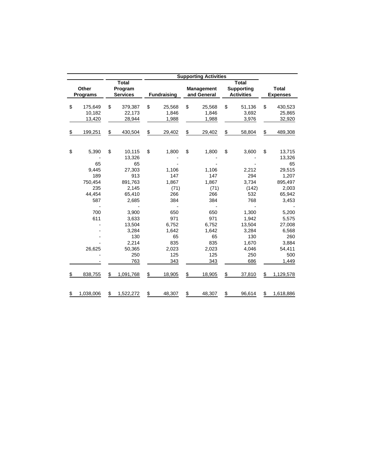|                          |           |                            |    |                    |    | <b>Supporting Activities</b>     |                                        |                                 |
|--------------------------|-----------|----------------------------|----|--------------------|----|----------------------------------|----------------------------------------|---------------------------------|
|                          |           | <b>Total</b>               |    |                    |    |                                  | <b>Total</b>                           |                                 |
| Other<br><b>Programs</b> |           | Program<br><b>Services</b> |    | <b>Fundraising</b> |    | <b>Management</b><br>and General | <b>Supporting</b><br><b>Activities</b> | <b>Total</b><br><b>Expenses</b> |
|                          |           |                            |    |                    |    |                                  |                                        |                                 |
| \$                       | 175,649   | \$<br>379,387              | \$ | 25,568             | \$ | 25,568                           | \$<br>51,136                           | \$<br>430,523                   |
|                          | 10,182    | 22,173                     |    | 1,846              |    | 1,846                            | 3,692                                  | 25,865                          |
|                          | 13,420    | 28,944                     |    | 1,988              |    | 1,988                            | 3,976                                  | 32,920                          |
| \$                       | 199,251   | \$<br>430,504              | \$ | 29,402             | \$ | 29,402                           | \$<br>58,804                           | \$<br>489,308                   |
|                          |           |                            |    |                    |    |                                  |                                        |                                 |
| \$                       | 5,390     | \$<br>10,115               | \$ | 1,800              | \$ | 1,800                            | \$<br>3,600                            | \$<br>13,715                    |
|                          |           | 13,326                     |    |                    |    |                                  |                                        | 13,326                          |
|                          | 65        | 65                         |    |                    |    |                                  |                                        | 65                              |
|                          | 9,445     | 27,303                     |    | 1,106              |    | 1,106                            | 2,212                                  | 29,515                          |
|                          | 189       | 913                        |    | 147                |    | 147                              | 294                                    | 1,207                           |
|                          | 750,454   | 891,763                    |    | 1,867              |    | 1,867                            | 3,734                                  | 895,497                         |
|                          | 235       | 2,145                      |    | (71)               |    | (71)                             | (142)                                  | 2,003                           |
|                          | 44,454    | 65,410                     |    | 266                |    | 266                              | 532                                    | 65,942                          |
|                          | 587       | 2,685                      |    | 384                |    | 384                              | 768                                    | 3,453                           |
|                          | 700       | 3,900                      |    | 650                |    | 650                              | 1,300                                  | 5,200                           |
|                          | 611       | 3,633                      |    | 971                |    | 971                              | 1,942                                  | 5,575                           |
|                          |           | 13,504                     |    | 6,752              |    | 6,752                            | 13,504                                 | 27,008                          |
|                          |           | 3,284                      |    | 1,642              |    | 1,642                            | 3,284                                  | 6,568                           |
|                          |           | 130                        |    | 65                 |    | 65                               | 130                                    | 260                             |
|                          |           | 2,214                      |    | 835                |    | 835                              | 1,670                                  | 3,884                           |
|                          | 26,625    | 50,365                     |    | 2,023              |    | 2,023                            | 4,046                                  | 54,411                          |
|                          |           | 250                        |    | 125                |    | 125                              | 250                                    | 500                             |
|                          |           | 763                        |    | 343                |    | 343                              | 686                                    | 1,449                           |
| \$                       | 838,755   | \$<br>1,091,768            | \$ | 18,905             | \$ | 18,905                           | \$<br>37,810                           | \$<br>1,129,578                 |
|                          |           |                            |    |                    |    |                                  |                                        |                                 |
| \$                       | 1,038,006 | \$<br>1,522,272            | \$ | 48,307             | \$ | 48,307                           | \$<br>96,614                           | \$<br>1,618,886                 |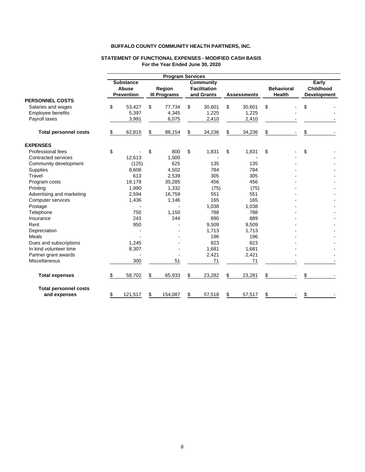| \$<br>53,427  | \$                                             | 77,734  | \$                                               | 30,601 | \$                                                                                                | 30,601 | \$                         |                                          |                                                      |
|---------------|------------------------------------------------|---------|--------------------------------------------------|--------|---------------------------------------------------------------------------------------------------|--------|----------------------------|------------------------------------------|------------------------------------------------------|
| 5,397         |                                                | 4,345   |                                                  | 1,225  |                                                                                                   | 1,225  |                            |                                          |                                                      |
| 3,991         |                                                | 6,075   |                                                  | 2,410  |                                                                                                   | 2,410  |                            |                                          |                                                      |
| \$<br>62,815  | \$                                             | 88,154  | \$                                               | 34,236 | \$                                                                                                | 34,236 | \$                         | \$                                       |                                                      |
|               |                                                |         |                                                  |        |                                                                                                   |        |                            |                                          |                                                      |
|               |                                                | 800     | \$                                               |        | \$                                                                                                | 1,831  |                            |                                          |                                                      |
| 12,613        |                                                | 1,500   |                                                  |        |                                                                                                   |        |                            |                                          |                                                      |
| (125)         |                                                | 625     |                                                  | 135    |                                                                                                   | 135    |                            |                                          |                                                      |
| 8,608         |                                                | 4.502   |                                                  | 784    |                                                                                                   | 784    |                            |                                          |                                                      |
| 613           |                                                |         |                                                  | 305    |                                                                                                   | 305    |                            |                                          |                                                      |
| 19,178        |                                                |         |                                                  | 456    |                                                                                                   | 456    |                            |                                          |                                                      |
| 1,990         |                                                | 1,332   |                                                  |        |                                                                                                   |        |                            |                                          |                                                      |
| 2,594         |                                                | 16,759  |                                                  | 551    |                                                                                                   | 551    |                            |                                          |                                                      |
| 1,436         |                                                | 1,146   |                                                  | 165    |                                                                                                   | 165    |                            |                                          |                                                      |
|               |                                                |         |                                                  | 1,038  |                                                                                                   | 1,038  |                            |                                          |                                                      |
| 750           |                                                | 1,150   |                                                  | 788    |                                                                                                   | 788    |                            |                                          |                                                      |
| 243           |                                                | 244     |                                                  | 890    |                                                                                                   | 889    |                            |                                          |                                                      |
| 950           |                                                |         |                                                  | 9,509  |                                                                                                   | 9,509  |                            |                                          |                                                      |
|               |                                                |         |                                                  | 1,713  |                                                                                                   | 1,713  |                            |                                          |                                                      |
|               |                                                |         |                                                  | 196    |                                                                                                   | 196    |                            |                                          |                                                      |
| 1,245         |                                                |         |                                                  | 823    |                                                                                                   | 823    |                            |                                          |                                                      |
| 8,307         |                                                |         |                                                  | 1,681  |                                                                                                   | 1,681  |                            |                                          |                                                      |
|               |                                                |         |                                                  | 2,421  |                                                                                                   | 2,421  |                            |                                          |                                                      |
| 300           |                                                | 51      |                                                  | 71     |                                                                                                   | 71     |                            |                                          |                                                      |
| \$<br>58,702  | \$                                             | 65,933  | \$                                               | 23,282 | \$                                                                                                | 23,281 | \$                         | \$                                       |                                                      |
|               |                                                |         |                                                  |        |                                                                                                   |        |                            |                                          |                                                      |
| \$<br>121,517 | \$                                             | 154,087 | \$                                               | 57,518 | \$                                                                                                | 57,517 | \$                         | \$                                       |                                                      |
| \$            | <b>Substance</b><br>Abuse<br><b>Prevention</b> | \$      | Region<br><b>III Programs</b><br>2,539<br>35,285 |        | <b>Program Services</b><br><b>Community</b><br><b>Facilitation</b><br>and Grants<br>1,831<br>(75) |        | <b>Assessments</b><br>(75) | \$<br><b>Behavioral</b><br><b>Health</b> | Early<br>Childhood<br><b>Development</b><br>\$<br>\$ |

#### **STATEMENT OF FUNCTIONAL EXPENSES - MODIFIED CASH BASIS For the Year Ended June 30, 2020**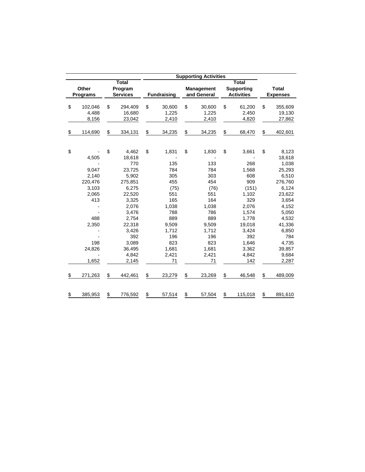|                 |                 |                    | <b>Supporting Activities</b> |                   |                 |
|-----------------|-----------------|--------------------|------------------------------|-------------------|-----------------|
|                 | <b>Total</b>    |                    |                              | <b>Total</b>      |                 |
| Other           | Program         |                    | Management                   | <b>Supporting</b> | <b>Total</b>    |
| <b>Programs</b> | <b>Services</b> | <b>Fundraising</b> | and General                  | <b>Activities</b> | <b>Expenses</b> |
|                 |                 |                    |                              |                   |                 |
| \$<br>102,046   | \$<br>294,409   | \$<br>30,600       | \$<br>30,600                 | \$<br>61,200      | \$<br>355,609   |
| 4,488           | 16,680          | 1,225              | 1,225                        | 2,450             | 19,130          |
| 8,156           | 23,042          | 2,410              | 2,410                        | 4,820             | 27,862          |
| \$<br>114,690   | \$<br>334,131   | \$<br>34,235       | \$<br>34,235                 | \$<br>68,470      | \$<br>402,601   |
|                 |                 |                    |                              |                   |                 |
| \$              | \$<br>4,462     | \$<br>1,831        | \$<br>1,830                  | \$<br>3,661       | \$<br>8,123     |
| 4,505           | 18,618          |                    |                              |                   | 18,618          |
|                 | 770             | 135                | 133                          | 268               | 1,038           |
| 9,047           | 23,725          | 784                | 784                          | 1,568             | 25,293          |
| 2,140           | 5,902           | 305                | 303                          | 608               | 6,510           |
| 220,476         | 275,851         | 455                | 454                          | 909               | 276,760         |
| 3,103           | 6,275           | (75)               | (76)                         | (151)             | 6,124           |
| 2,065           | 22,520          | 551                | 551                          | 1,102             | 23,622          |
| 413             | 3,325           | 165                | 164                          | 329               | 3,654           |
|                 | 2,076           | 1,038              | 1,038                        | 2,076             | 4,152           |
|                 | 3,476           | 788                | 786                          | 1,574             | 5,050           |
| 488             | 2,754           | 889                | 889                          | 1,778             | 4,532           |
| 2,350           | 22,318          | 9,509              | 9,509                        | 19,018            | 41,336          |
|                 | 3,426           | 1,712              | 1,712                        | 3,424             | 6,850           |
|                 | 392             | 196                | 196                          | 392               | 784             |
| 198             | 3,089           | 823                | 823                          | 1,646             | 4,735           |
| 24,826          | 36,495          | 1,681              | 1,681                        | 3,362             | 39,857          |
|                 | 4,842           | 2,421              | 2,421                        | 4,842             | 9,684           |
| 1,652           | 2,145           | 71                 | 71                           | 142               | 2,287           |
| \$<br>271,263   | \$<br>442,461   | \$<br>23,279       | \$<br>23,269                 | \$<br>46,548      | \$<br>489,009   |
| \$<br>385,953   | \$<br>776,592   | \$<br>57,514       | \$<br>57,504                 | \$<br>115,018     | \$<br>891,610   |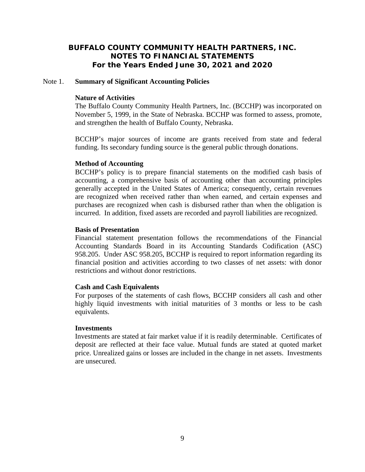#### Note 1. **Summary of Significant Accounting Policies**

## **Nature of Activities**

The Buffalo County Community Health Partners, Inc. (BCCHP) was incorporated on November 5, 1999, in the State of Nebraska. BCCHP was formed to assess, promote, and strengthen the health of Buffalo County, Nebraska.

BCCHP's major sources of income are grants received from state and federal funding. Its secondary funding source is the general public through donations.

## **Method of Accounting**

BCCHP's policy is to prepare financial statements on the modified cash basis of accounting, a comprehensive basis of accounting other than accounting principles generally accepted in the United States of America; consequently, certain revenues are recognized when received rather than when earned, and certain expenses and purchases are recognized when cash is disbursed rather than when the obligation is incurred. In addition, fixed assets are recorded and payroll liabilities are recognized.

## **Basis of Presentation**

Financial statement presentation follows the recommendations of the Financial Accounting Standards Board in its Accounting Standards Codification (ASC) 958.205. Under ASC 958.205, BCCHP is required to report information regarding its financial position and activities according to two classes of net assets: with donor restrictions and without donor restrictions.

#### **Cash and Cash Equivalents**

For purposes of the statements of cash flows, BCCHP considers all cash and other highly liquid investments with initial maturities of 3 months or less to be cash equivalents.

## **Investments**

Investments are stated at fair market value if it is readily determinable. Certificates of deposit are reflected at their face value. Mutual funds are stated at quoted market price. Unrealized gains or losses are included in the change in net assets. Investments are unsecured.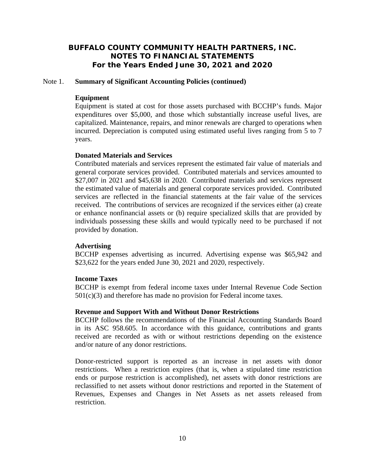## Note 1. **Summary of Significant Accounting Policies (continued)**

## **Equipment**

 Equipment is stated at cost for those assets purchased with BCCHP's funds. Major expenditures over \$5,000, and those which substantially increase useful lives, are capitalized. Maintenance, repairs, and minor renewals are charged to operations when incurred. Depreciation is computed using estimated useful lives ranging from 5 to 7 years.

#### **Donated Materials and Services**

Contributed materials and services represent the estimated fair value of materials and general corporate services provided. Contributed materials and services amounted to \$27,007 in 2021 and \$45,638 in 2020. Contributed materials and services represent the estimated value of materials and general corporate services provided. Contributed services are reflected in the financial statements at the fair value of the services received. The contributions of services are recognized if the services either (a) create or enhance nonfinancial assets or (b) require specialized skills that are provided by individuals possessing these skills and would typically need to be purchased if not provided by donation.

#### **Advertising**

BCCHP expenses advertising as incurred. Advertising expense was \$65,942 and \$23,622 for the years ended June 30, 2021 and 2020, respectively.

# **Income Taxes**

BCCHP is exempt from federal income taxes under Internal Revenue Code Section  $501(c)(3)$  and therefore has made no provision for Federal income taxes.

#### **Revenue and Support With and Without Donor Restrictions**

BCCHP follows the recommendations of the Financial Accounting Standards Board in its ASC 958.605. In accordance with this guidance, contributions and grants received are recorded as with or without restrictions depending on the existence and/or nature of any donor restrictions.

Donor-restricted support is reported as an increase in net assets with donor restrictions. When a restriction expires (that is, when a stipulated time restriction ends or purpose restriction is accomplished), net assets with donor restrictions are reclassified to net assets without donor restrictions and reported in the Statement of Revenues, Expenses and Changes in Net Assets as net assets released from restriction.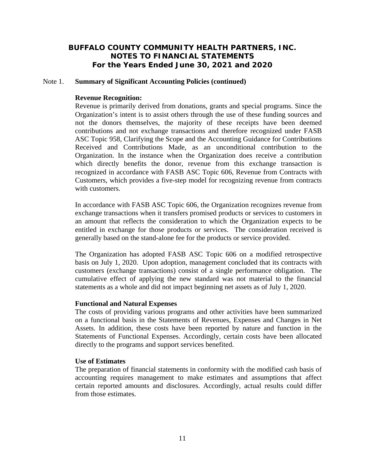## Note 1. **Summary of Significant Accounting Policies (continued)**

#### **Revenue Recognition:**

Revenue is primarily derived from donations, grants and special programs. Since the Organization's intent is to assist others through the use of these funding sources and not the donors themselves, the majority of these receipts have been deemed contributions and not exchange transactions and therefore recognized under FASB ASC Topic 958, Clarifying the Scope and the Accounting Guidance for Contributions Received and Contributions Made, as an unconditional contribution to the Organization. In the instance when the Organization does receive a contribution which directly benefits the donor, revenue from this exchange transaction is recognized in accordance with FASB ASC Topic 606, Revenue from Contracts with Customers, which provides a five-step model for recognizing revenue from contracts with customers.

In accordance with FASB ASC Topic 606, the Organization recognizes revenue from exchange transactions when it transfers promised products or services to customers in an amount that reflects the consideration to which the Organization expects to be entitled in exchange for those products or services. The consideration received is generally based on the stand-alone fee for the products or service provided.

The Organization has adopted FASB ASC Topic 606 on a modified retrospective basis on July 1, 2020. Upon adoption, management concluded that its contracts with customers (exchange transactions) consist of a single performance obligation. The cumulative effect of applying the new standard was not material to the financial statements as a whole and did not impact beginning net assets as of July 1, 2020.

# **Functional and Natural Expenses**

The costs of providing various programs and other activities have been summarized on a functional basis in the Statements of Revenues, Expenses and Changes in Net Assets. In addition, these costs have been reported by nature and function in the Statements of Functional Expenses. Accordingly, certain costs have been allocated directly to the programs and support services benefited.

#### **Use of Estimates**

The preparation of financial statements in conformity with the modified cash basis of accounting requires management to make estimates and assumptions that affect certain reported amounts and disclosures. Accordingly, actual results could differ from those estimates.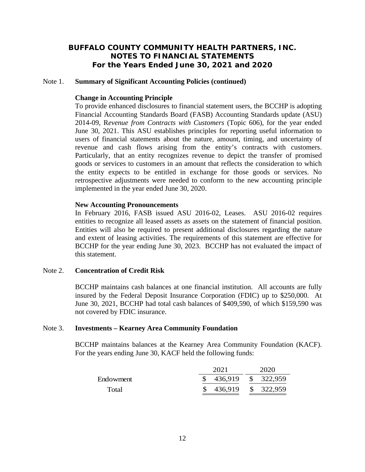#### Note 1. **Summary of Significant Accounting Policies (continued)**

## **Change in Accounting Principle**

To provide enhanced disclosures to financial statement users, the BCCHP is adopting Financial Accounting Standards Board (FASB) Accounting Standards update (ASU) 2014-09, R*evenue from Contracts with Customers* (Topic 606), for the year ended June 30, 2021. This ASU establishes principles for reporting useful information to users of financial statements about the nature, amount, timing, and uncertainty of revenue and cash flows arising from the entity's contracts with customers. Particularly, that an entity recognizes revenue to depict the transfer of promised goods or services to customers in an amount that reflects the consideration to which the entity expects to be entitled in exchange for those goods or services. No retrospective adjustments were needed to conform to the new accounting principle implemented in the year ended June 30, 2020.

## **New Accounting Pronouncements**

In February 2016, FASB issued ASU 2016-02, Leases. ASU 2016-02 requires entities to recognize all leased assets as assets on the statement of financial position. Entities will also be required to present additional disclosures regarding the nature and extent of leasing activities. The requirements of this statement are effective for BCCHP for the year ending June 30, 2023. BCCHP has not evaluated the impact of this statement.

# Note 2. **Concentration of Credit Risk**

BCCHP maintains cash balances at one financial institution. All accounts are fully insured by the Federal Deposit Insurance Corporation (FDIC) up to \$250,000. At June 30, 2021, BCCHP had total cash balances of \$409,590, of which \$159,590 was not covered by FDIC insurance.

#### Note 3. **Investments – Kearney Area Community Foundation**

BCCHP maintains balances at the Kearney Area Community Foundation (KACF). For the years ending June 30, KACF held the following funds:

|           | 2021      | 2020      |
|-----------|-----------|-----------|
| Endowment | 436,919   | \$322,959 |
| Total     | \$436,919 | \$322,959 |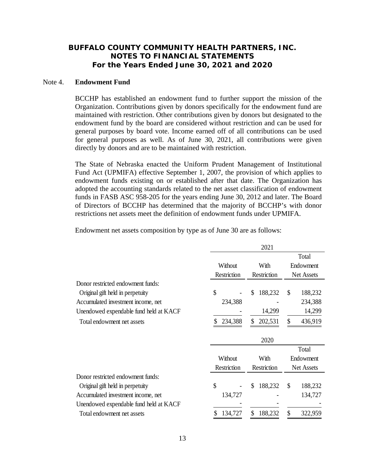#### Note 4. **Endowment Fund**

BCCHP has established an endowment fund to further support the mission of the Organization. Contributions given by donors specifically for the endowment fund are maintained with restriction. Other contributions given by donors but designated to the endowment fund by the board are considered without restriction and can be used for general purposes by board vote. Income earned off of all contributions can be used for general purposes as well. As of June 30, 2021, all contributions were given directly by donors and are to be maintained with restriction.

The State of Nebraska enacted the Uniform Prudent Management of Institutional Fund Act (UPMIFA) effective September 1, 2007, the provision of which applies to endowment funds existing on or established after that date. The Organization has adopted the accounting standards related to the net asset classification of endowment funds in FASB ASC 958-205 for the years ending June 30, 2012 and later. The Board of Directors of BCCHP has determined that the majority of BCCHP's with donor restrictions net assets meet the definition of endowment funds under UPMIFA.

Endowment net assets composition by type as of June 30 are as follows:

|                                        |             | 2021          |                   |
|----------------------------------------|-------------|---------------|-------------------|
|                                        |             |               | Total             |
|                                        | Without     | With          | Endowment         |
|                                        | Restriction | Restriction   | <b>Net Assets</b> |
| Donor restricted endowment funds:      |             |               |                   |
| Original gift held in perpetuity       | \$          | \$<br>188,232 | \$<br>188,232     |
| Accumulated investment income, net     | 234,388     |               | 234,388           |
| Unendowed expendable fund held at KACF |             | 14,299        | 14,299            |
| Total endowment net assets             | 234,388     | \$<br>202,531 | \$<br>436,919     |
|                                        |             | 2020          |                   |
|                                        |             |               | Total             |
|                                        | Without     | With          | Endowment         |
|                                        | Restriction | Restriction   | <b>Net Assets</b> |
| Donor restricted endowment funds:      |             |               |                   |
| Original gift held in perpetuity       | \$          | \$<br>188,232 | \$<br>188,232     |
| Accumulated investment income, net     | 134,727     |               | 134,727           |
| Unendowed expendable fund held at KACF |             |               |                   |
| Total endowment net assets             | 134,727     | \$<br>188,232 | \$<br>322,959     |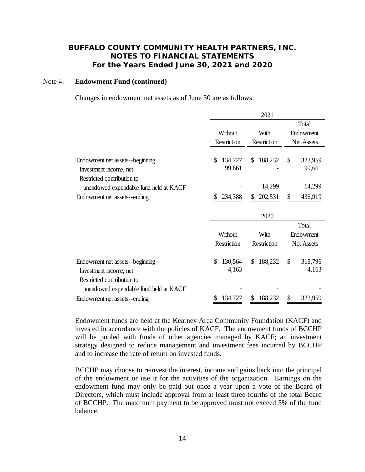#### Note 4. **Endowment Fund (continued)**

Changes in endowment net assets as of June 30 are as follows:

|                                        |               | 2021          |                   |
|----------------------------------------|---------------|---------------|-------------------|
|                                        |               |               | Total             |
|                                        | Without       | With          | Endowment         |
|                                        | Restriction   | Restriction   | <b>Net Assets</b> |
|                                        |               |               |                   |
| Endowment net assets-beginning         | \$<br>134,727 | 188,232<br>\$ | \$<br>322,959     |
| Investment income, net                 | 99,661        |               | 99,661            |
| Restricted contribution to             |               |               |                   |
| unendowed expendable fund held at KACF |               | 14,299        | 14,299            |
| Endowment net assets--ending           | 234,388<br>S  | \$<br>202,531 | \$<br>436,919     |
|                                        |               |               |                   |
|                                        |               |               |                   |
|                                        |               | 2020          |                   |
|                                        |               |               | Total             |
|                                        | Without       | With          | Endowment         |
|                                        | Restriction   | Restriction   | <b>Net Assets</b> |
|                                        |               |               |                   |
| Endowment net assets--beginning        | \$<br>130,564 | 188,232<br>\$ | \$<br>318,796     |
| Investment income, net                 | 4,163         |               | 4,163             |
| Restricted contribution to             |               |               |                   |
| unendowed expendable fund held at KACF |               |               |                   |

Endowment funds are held at the Kearney Area Community Foundation (KACF) and invested in accordance with the policies of KACF. The endowment funds of BCCHP will be pooled with funds of other agencies managed by KACF; an investment strategy designed to reduce management and investment fees incurred by BCCHP and to increase the rate of return on invested funds.

BCCHP may choose to reinvest the interest, income and gains back into the principal of the endowment or use it for the activities of the organization. Earnings on the endowment fund may only be paid out once a year upon a vote of the Board of Directors, which must include approval from at least three-fourths of the total Board of BCCHP. The maximum payment to be approved must not exceed 5% of the fund balance.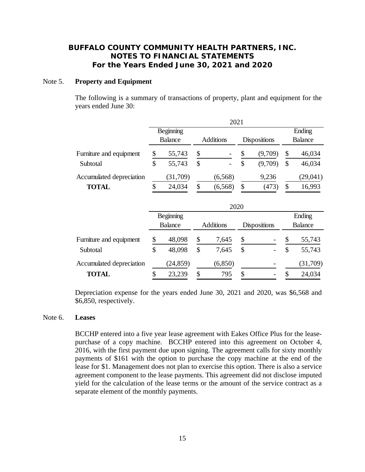#### Note 5. **Property and Equipment**

The following is a summary of transactions of property, plant and equipment for the years ended June 30:

|                          | 2021 |                                    |    |                              |                     |                |    |          |  |
|--------------------------|------|------------------------------------|----|------------------------------|---------------------|----------------|----|----------|--|
|                          |      | Beginning                          |    |                              |                     |                |    | Ending   |  |
|                          |      | <b>Balance</b><br><b>Additions</b> |    |                              | <b>Dispositions</b> | <b>Balance</b> |    |          |  |
| Furniture and equipment  |      | 55,743                             | \$ | $\qquad \qquad \blacksquare$ | \$                  | (9,709)        | \$ | 46,034   |  |
| Subtotal                 | \$   | 55,743                             | \$ | $\qquad \qquad \blacksquare$ | \$                  | (9,709)        | S  | 46,034   |  |
| Accumulated depreciation |      | (31,709)                           |    | (6, 568)                     |                     | 9,236          |    | (29,041) |  |
| <b>TOTAL</b>             |      | 24,034                             | \$ | (6, 568)                     | \$                  | (473)          | S  | 16,993   |  |

|                          |                |    | 2020             |    |                     |                |          |  |
|--------------------------|----------------|----|------------------|----|---------------------|----------------|----------|--|
|                          | Beginning      |    |                  |    |                     | Ending         |          |  |
|                          | <b>Balance</b> |    | <b>Additions</b> |    | <b>Dispositions</b> | <b>Balance</b> |          |  |
| Furniture and equipment  | \$<br>48,098   | \$ | 7,645            | \$ |                     | \$             | 55,743   |  |
| Subtotal                 | \$<br>48,098   | \$ | 7,645            | \$ |                     | \$             | 55,743   |  |
| Accumulated depreciation | (24, 859)      |    | (6, 850)         |    |                     |                | (31,709) |  |
| <b>TOTAL</b>             | \$<br>23,239   | \$ | 795              | \$ |                     | \$             | 24,034   |  |

Depreciation expense for the years ended June 30, 2021 and 2020, was \$6,568 and \$6,850, respectively.

#### Note 6. **Leases**

 BCCHP entered into a five year lease agreement with Eakes Office Plus for the leasepurchase of a copy machine. BCCHP entered into this agreement on October 4, 2016, with the first payment due upon signing. The agreement calls for sixty monthly payments of \$161 with the option to purchase the copy machine at the end of the lease for \$1. Management does not plan to exercise this option. There is also a service agreement component to the lease payments. This agreement did not disclose imputed yield for the calculation of the lease terms or the amount of the service contract as a separate element of the monthly payments.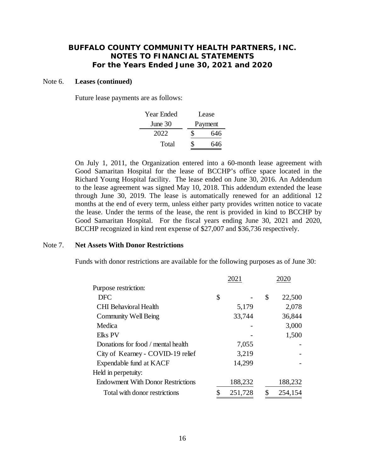#### Note 6. **Leases (continued)**

Future lease payments are as follows:

| Year Ended |    | Lease   |
|------------|----|---------|
| June $30$  |    | Payment |
| 2022       | S. | 646     |
| Total      | S. | 646     |

 On July 1, 2011, the Organization entered into a 60-month lease agreement with Good Samaritan Hospital for the lease of BCCHP's office space located in the Richard Young Hospital facility. The lease ended on June 30, 2016. An Addendum to the lease agreement was signed May 10, 2018. This addendum extended the lease through June 30, 2019. The lease is automatically renewed for an additional 12 months at the end of every term, unless either party provides written notice to vacate the lease. Under the terms of the lease, the rent is provided in kind to BCCHP by Good Samaritan Hospital. For the fiscal years ending June 30, 2021 and 2020, BCCHP recognized in kind rent expense of \$27,007 and \$36,736 respectively.

#### Note 7. **Net Assets With Donor Restrictions**

Funds with donor restrictions are available for the following purposes as of June 30:

|                                          | 2021          | 2020          |
|------------------------------------------|---------------|---------------|
| Purpose restriction:                     |               |               |
| <b>DFC</b>                               | \$            | \$<br>22,500  |
| <b>CHI</b> Behavioral Health             | 5,179         | 2,078         |
| <b>Community Well Being</b>              | 33,744        | 36,844        |
| Medica                                   |               | 3,000         |
| <b>Elks PV</b>                           |               | 1,500         |
| Donations for food / mental health       | 7,055         |               |
| City of Kearney - COVID-19 relief        | 3,219         |               |
| Expendable fund at KACF                  | 14,299        |               |
| Held in perpetuity:                      |               |               |
| <b>Endowment With Donor Restrictions</b> | 188,232       | 188,232       |
| Total with donor restrictions            | \$<br>251,728 | \$<br>254,154 |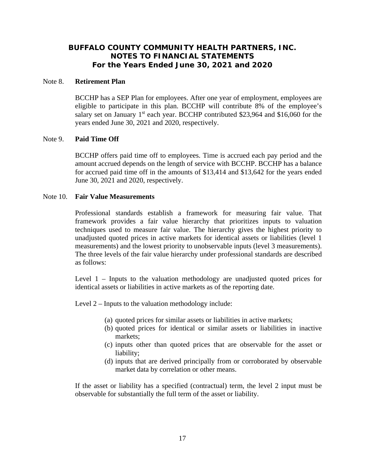#### Note 8. **Retirement Plan**

BCCHP has a SEP Plan for employees. After one year of employment, employees are eligible to participate in this plan. BCCHP will contribute 8% of the employee's salary set on January  $1<sup>st</sup>$  each year. BCCHP contributed \$23,964 and \$16,060 for the years ended June 30, 2021 and 2020, respectively.

## Note 9. **Paid Time Off**

 BCCHP offers paid time off to employees. Time is accrued each pay period and the amount accrued depends on the length of service with BCCHP. BCCHP has a balance for accrued paid time off in the amounts of \$13,414 and \$13,642 for the years ended June 30, 2021 and 2020, respectively.

## Note 10. **Fair Value Measurements**

Professional standards establish a framework for measuring fair value. That framework provides a fair value hierarchy that prioritizes inputs to valuation techniques used to measure fair value. The hierarchy gives the highest priority to unadjusted quoted prices in active markets for identical assets or liabilities (level 1 measurements) and the lowest priority to unobservable inputs (level 3 measurements). The three levels of the fair value hierarchy under professional standards are described as follows:

Level 1 – Inputs to the valuation methodology are unadjusted quoted prices for identical assets or liabilities in active markets as of the reporting date.

Level 2 – Inputs to the valuation methodology include:

- (a) quoted prices for similar assets or liabilities in active markets;
- (b) quoted prices for identical or similar assets or liabilities in inactive markets;
- (c) inputs other than quoted prices that are observable for the asset or liability;
- (d) inputs that are derived principally from or corroborated by observable market data by correlation or other means.

If the asset or liability has a specified (contractual) term, the level 2 input must be observable for substantially the full term of the asset or liability.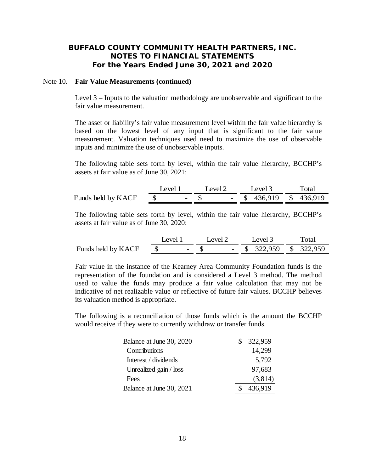## Note 10. **Fair Value Measurements (continued)**

Level 3 – Inputs to the valuation methodology are unobservable and significant to the fair value measurement.

The asset or liability's fair value measurement level within the fair value hierarchy is based on the lowest level of any input that is significant to the fair value measurement. Valuation techniques used need to maximize the use of observable inputs and minimize the use of unobservable inputs.

The following table sets forth by level, within the fair value hierarchy, BCCHP's assets at fair value as of June 30, 2021:

|                    | Level 1 | Level $2$ | Level $3$                 | Total |
|--------------------|---------|-----------|---------------------------|-------|
| Funds held by KACF | $-$ S   |           | $-$ \$ 436,919 \$ 436,919 |       |

The following table sets forth by level, within the fair value hierarchy, BCCHP's assets at fair value as of June 30, 2020:

|                    | Level 1 |  | Level $2$ |  | Level 3                   | Total |  |  |
|--------------------|---------|--|-----------|--|---------------------------|-------|--|--|
| Funds held by KACF |         |  | $-$ S     |  | $-$ \$ 322,959 \$ 322,959 |       |  |  |

Fair value in the instance of the Kearney Area Community Foundation funds is the representation of the foundation and is considered a Level 3 method. The method used to value the funds may produce a fair value calculation that may not be indicative of net realizable value or reflective of future fair values. BCCHP believes its valuation method is appropriate.

The following is a reconciliation of those funds which is the amount the BCCHP would receive if they were to currently withdraw or transfer funds.

| Balance at June 30, 2020 | 322,959 |
|--------------------------|---------|
| Contributions            | 14,299  |
| Interest / dividends     | 5,792   |
| Unrealized gain / loss   | 97,683  |
| Fees                     | (3,814) |
| Balance at June 30, 2021 | 436,919 |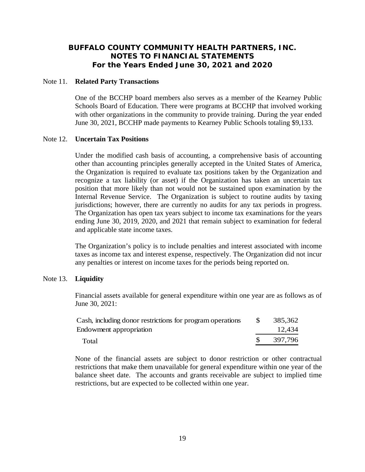#### Note 11. **Related Party Transactions**

One of the BCCHP board members also serves as a member of the Kearney Public Schools Board of Education. There were programs at BCCHP that involved working with other organizations in the community to provide training. During the year ended June 30, 2021, BCCHP made payments to Kearney Public Schools totaling \$9,133.

## Note 12. **Uncertain Tax Positions**

 Under the modified cash basis of accounting, a comprehensive basis of accounting other than accounting principles generally accepted in the United States of America, the Organization is required to evaluate tax positions taken by the Organization and recognize a tax liability (or asset) if the Organization has taken an uncertain tax position that more likely than not would not be sustained upon examination by the Internal Revenue Service. The Organization is subject to routine audits by taxing jurisdictions; however, there are currently no audits for any tax periods in progress. The Organization has open tax years subject to income tax examinations for the years ending June 30, 2019, 2020, and 2021 that remain subject to examination for federal and applicable state income taxes.

The Organization's policy is to include penalties and interest associated with income taxes as income tax and interest expense, respectively. The Organization did not incur any penalties or interest on income taxes for the periods being reported on.

# Note 13. **Liquidity**

Financial assets available for general expenditure within one year are as follows as of June 30, 2021:

| Cash, including donor restrictions for program operations | -SS | 385,362 |
|-----------------------------------------------------------|-----|---------|
| Endowment appropriation                                   |     | 12,434  |
| Total                                                     |     | 397,796 |

None of the financial assets are subject to donor restriction or other contractual restrictions that make them unavailable for general expenditure within one year of the balance sheet date. The accounts and grants receivable are subject to implied time restrictions, but are expected to be collected within one year.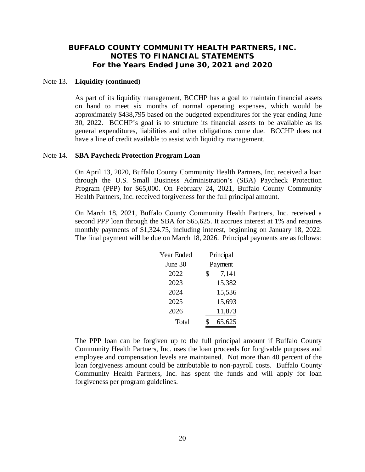#### Note 13. **Liquidity (continued)**

As part of its liquidity management, BCCHP has a goal to maintain financial assets on hand to meet six months of normal operating expenses, which would be approximately \$438,795 based on the budgeted expenditures for the year ending June 30, 2022. BCCHP's goal is to structure its financial assets to be available as its general expenditures, liabilities and other obligations come due. BCCHP does not have a line of credit available to assist with liquidity management.

#### Note 14. **SBA Paycheck Protection Program Loan**

On April 13, 2020, Buffalo County Community Health Partners, Inc. received a loan through the U.S. Small Business Administration's (SBA) Paycheck Protection Program (PPP) for \$65,000. On February 24, 2021, Buffalo County Community Health Partners, Inc. received forgiveness for the full principal amount.

On March 18, 2021, Buffalo County Community Health Partners, Inc. received a second PPP loan through the SBA for \$65,625. It accrues interest at 1% and requires monthly payments of \$1,324.75, including interest, beginning on January 18, 2022. The final payment will be due on March 18, 2026. Principal payments are as follows:

| Year Ended | Principal   |
|------------|-------------|
| June 30    | Payment     |
| 2022       | \$<br>7,141 |
| 2023       | 15,382      |
| 2024       | 15,536      |
| 2025       | 15,693      |
| 2026       | 11,873      |
| Total      | 65,625      |

 The PPP loan can be forgiven up to the full principal amount if Buffalo County Community Health Partners, Inc. uses the loan proceeds for forgivable purposes and employee and compensation levels are maintained. Not more than 40 percent of the loan forgiveness amount could be attributable to non-payroll costs. Buffalo County Community Health Partners, Inc. has spent the funds and will apply for loan forgiveness per program guidelines.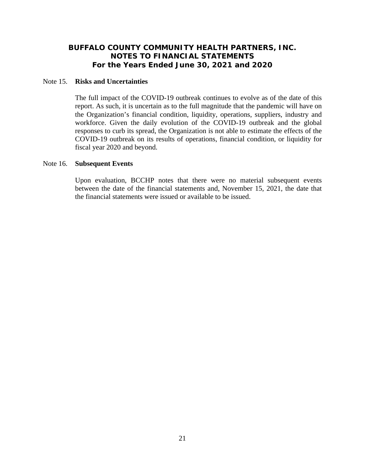#### Note 15. **Risks and Uncertainties**

The full impact of the COVID-19 outbreak continues to evolve as of the date of this report. As such, it is uncertain as to the full magnitude that the pandemic will have on the Organization's financial condition, liquidity, operations, suppliers, industry and workforce. Given the daily evolution of the COVID-19 outbreak and the global responses to curb its spread, the Organization is not able to estimate the effects of the COVID-19 outbreak on its results of operations, financial condition, or liquidity for fiscal year 2020 and beyond.

## Note 16. **Subsequent Events**

Upon evaluation, BCCHP notes that there were no material subsequent events between the date of the financial statements and, November 15, 2021, the date that the financial statements were issued or available to be issued.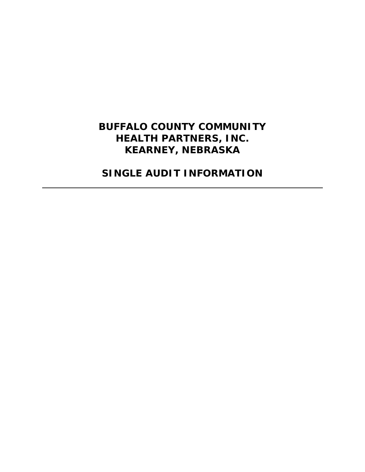# **BUFFALO COUNTY COMMUNITY HEALTH PARTNERS, INC. KEARNEY, NEBRASKA**

**SINGLE AUDIT INFORMATION**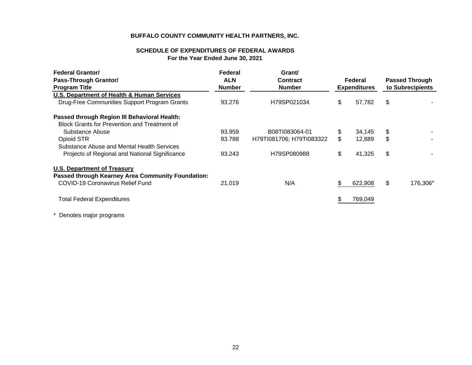# **SCHEDULE OF EXPENDITURES OF FEDERAL AWARDSFor the Year Ended June 30, 2021**

| <b>Federal Grantor/</b>                             | Federal       | Grant/                   |    |                     |                       |                  |  |
|-----------------------------------------------------|---------------|--------------------------|----|---------------------|-----------------------|------------------|--|
| <b>Pass-Through Grantor/</b>                        | <b>ALN</b>    | Contract                 |    | Federal             | <b>Passed Through</b> |                  |  |
| <b>Program Title</b>                                | <b>Number</b> | <b>Number</b>            |    | <b>Expenditures</b> |                       | to Subrecipients |  |
| U.S. Department of Health & Human Services          |               |                          |    |                     |                       |                  |  |
| Drug-Free Communities Support Program Grants        | 93.276        | H79SP021034              | \$ | 57,782              | \$                    |                  |  |
| Passed through Region III Behavioral Health:        |               |                          |    |                     |                       |                  |  |
| <b>Block Grants for Prevention and Treatment of</b> |               |                          |    |                     |                       |                  |  |
| Substance Abuse                                     | 93.959        | B08TI083064-01           | \$ | 34,145              | \$                    |                  |  |
| Opioid STR                                          | 93.788        | H79TI081706; H79TI083322 | \$ | 12,889              | \$                    |                  |  |
| Substance Abuse and Mental Health Services          |               |                          |    |                     |                       |                  |  |
| Projects of Regional and National Significance      | 93.243        | H79SP080988              | \$ | 41,325              | \$                    |                  |  |
| <b>U.S. Department of Treasury</b>                  |               |                          |    |                     |                       |                  |  |
| Passed through Kearney Area Community Foundation:   |               |                          |    |                     |                       |                  |  |
| <b>COVID-19 Coronavirus Relief Fund</b>             | 21.019        | N/A                      | S  | 622,908             | \$                    | 176,306*         |  |
| <b>Total Federal Expenditures</b>                   |               |                          |    | 769,049             |                       |                  |  |
|                                                     |               |                          |    |                     |                       |                  |  |

\* Denotes major programs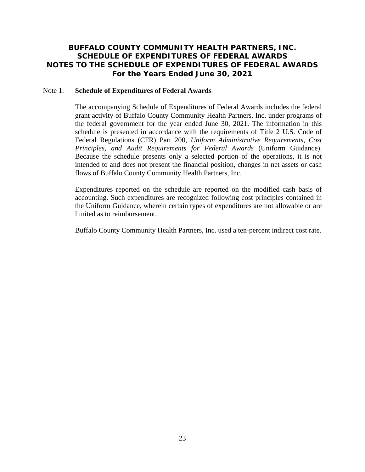# **BUFFALO COUNTY COMMUNITY HEALTH PARTNERS, INC. SCHEDULE OF EXPENDITURES OF FEDERAL AWARDS NOTES TO THE SCHEDULE OF EXPENDITURES OF FEDERAL AWARDS For the Years Ended June 30, 2021**

#### Note 1. **Schedule of Expenditures of Federal Awards**

The accompanying Schedule of Expenditures of Federal Awards includes the federal grant activity of Buffalo County Community Health Partners, Inc. under programs of the federal government for the year ended June 30, 2021. The information in this schedule is presented in accordance with the requirements of Title 2 U.S. Code of Federal Regulations (CFR) Part 200, *Uniform Administrative Requirements, Cost Principles, and Audit Requirements for Federal Awards* (Uniform Guidance). Because the schedule presents only a selected portion of the operations, it is not intended to and does not present the financial position, changes in net assets or cash flows of Buffalo County Community Health Partners, Inc.

 Expenditures reported on the schedule are reported on the modified cash basis of accounting. Such expenditures are recognized following cost principles contained in the Uniform Guidance, wherein certain types of expenditures are not allowable or are limited as to reimbursement.

Buffalo County Community Health Partners, Inc. used a ten-percent indirect cost rate.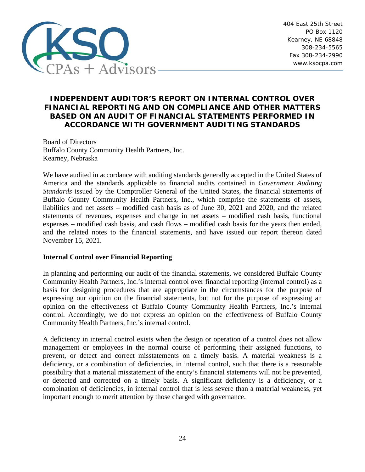

404 East 25th Street PO Box 1120 Kearney, NE 68848 308-234-5565 Fax 308-234-2990 www.ksocpa.com

# **INDEPENDENT AUDITOR'S REPORT ON INTERNAL CONTROL OVER FINANCIAL REPORTING AND ON COMPLIANCE AND OTHER MATTERS BASED ON AN AUDIT OF FINANCIAL STATEMENTS PERFORMED IN ACCORDANCE WITH GOVERNMENT AUDITING STANDARDS**

Board of Directors Buffalo County Community Health Partners, Inc. Kearney, Nebraska

We have audited in accordance with auditing standards generally accepted in the United States of America and the standards applicable to financial audits contained in *Government Auditing Standards* issued by the Comptroller General of the United States, the financial statements of Buffalo County Community Health Partners, Inc., which comprise the statements of assets, liabilities and net assets – modified cash basis as of June 30, 2021 and 2020, and the related statements of revenues, expenses and change in net assets – modified cash basis, functional expenses – modified cash basis, and cash flows – modified cash basis for the years then ended, and the related notes to the financial statements, and have issued our report thereon dated November 15, 2021.

# **Internal Control over Financial Reporting**

In planning and performing our audit of the financial statements, we considered Buffalo County Community Health Partners, Inc.'s internal control over financial reporting (internal control) as a basis for designing procedures that are appropriate in the circumstances for the purpose of expressing our opinion on the financial statements, but not for the purpose of expressing an opinion on the effectiveness of Buffalo County Community Health Partners, Inc.'s internal control. Accordingly, we do not express an opinion on the effectiveness of Buffalo County Community Health Partners, Inc.'s internal control.

A deficiency in internal control exists when the design or operation of a control does not allow management or employees in the normal course of performing their assigned functions, to prevent, or detect and correct misstatements on a timely basis. A material weakness is a deficiency, or a combination of deficiencies, in internal control, such that there is a reasonable possibility that a material misstatement of the entity's financial statements will not be prevented, or detected and corrected on a timely basis. A significant deficiency is a deficiency, or a combination of deficiencies, in internal control that is less severe than a material weakness, yet important enough to merit attention by those charged with governance.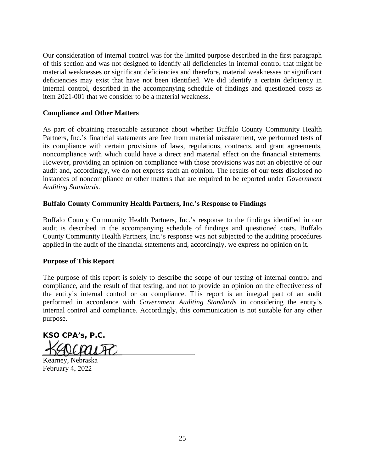Our consideration of internal control was for the limited purpose described in the first paragraph of this section and was not designed to identify all deficiencies in internal control that might be material weaknesses or significant deficiencies and therefore, material weaknesses or significant deficiencies may exist that have not been identified. We did identify a certain deficiency in internal control, described in the accompanying schedule of findings and questioned costs as item 2021-001 that we consider to be a material weakness.

# **Compliance and Other Matters**

As part of obtaining reasonable assurance about whether Buffalo County Community Health Partners, Inc.'s financial statements are free from material misstatement, we performed tests of its compliance with certain provisions of laws, regulations, contracts, and grant agreements, noncompliance with which could have a direct and material effect on the financial statements. However, providing an opinion on compliance with those provisions was not an objective of our audit and, accordingly, we do not express such an opinion. The results of our tests disclosed no instances of noncompliance or other matters that are required to be reported under *Government Auditing Standards*.

# **Buffalo County Community Health Partners, Inc.'s Response to Findings**

Buffalo County Community Health Partners, Inc.'s response to the findings identified in our audit is described in the accompanying schedule of findings and questioned costs. Buffalo County Community Health Partners, Inc.'s response was not subjected to the auditing procedures applied in the audit of the financial statements and, accordingly, we express no opinion on it.

# **Purpose of This Report**

The purpose of this report is solely to describe the scope of our testing of internal control and compliance, and the result of that testing, and not to provide an opinion on the effectiveness of the entity's internal control or on compliance. This report is an integral part of an audit performed in accordance with *Government Auditing Standards* in considering the entity's internal control and compliance. Accordingly, this communication is not suitable for any other purpose.

**KSO CPA's, P.C.**  ICAUA

Kearney, Nebraska February 4, 2022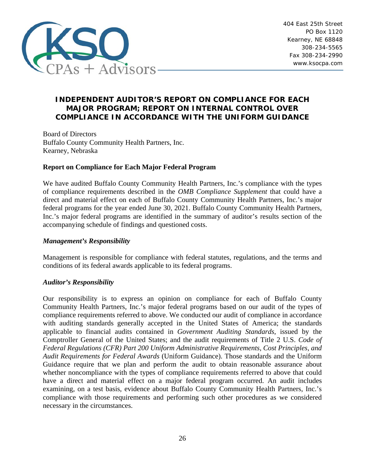

# **INDEPENDENT AUDITOR'S REPORT ON COMPLIANCE FOR EACH MAJOR PROGRAM; REPORT ON INTERNAL CONTROL OVER COMPLIANCE IN ACCORDANCE WITH THE UNIFORM GUIDANCE**

Board of Directors Buffalo County Community Health Partners, Inc. Kearney, Nebraska

# **Report on Compliance for Each Major Federal Program**

We have audited Buffalo County Community Health Partners, Inc.'s compliance with the types of compliance requirements described in the *OMB Compliance Supplement* that could have a direct and material effect on each of Buffalo County Community Health Partners, Inc.'s major federal programs for the year ended June 30, 2021. Buffalo County Community Health Partners, Inc.'s major federal programs are identified in the summary of auditor's results section of the accompanying schedule of findings and questioned costs.

# *Management's Responsibility*

Management is responsible for compliance with federal statutes, regulations, and the terms and conditions of its federal awards applicable to its federal programs.

# *Auditor's Responsibility*

Our responsibility is to express an opinion on compliance for each of Buffalo County Community Health Partners, Inc.'s major federal programs based on our audit of the types of compliance requirements referred to above. We conducted our audit of compliance in accordance with auditing standards generally accepted in the United States of America; the standards applicable to financial audits contained in *Government Auditing Standards*, issued by the Comptroller General of the United States; and the audit requirements of Title 2 U.S. *Code of Federal Regulations (CFR) Part 200 Uniform Administrative Requirements, Cost Principles, and Audit Requirements for Federal Awards* (Uniform Guidance). Those standards and the Uniform Guidance require that we plan and perform the audit to obtain reasonable assurance about whether noncompliance with the types of compliance requirements referred to above that could have a direct and material effect on a major federal program occurred. An audit includes examining, on a test basis, evidence about Buffalo County Community Health Partners, Inc.'s compliance with those requirements and performing such other procedures as we considered necessary in the circumstances.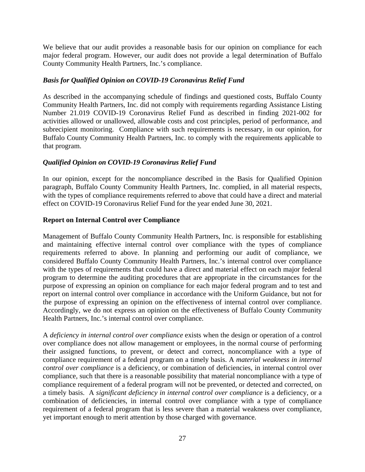We believe that our audit provides a reasonable basis for our opinion on compliance for each major federal program. However, our audit does not provide a legal determination of Buffalo County Community Health Partners, Inc.'s compliance.

# *Basis for Qualified Opinion on COVID-19 Coronavirus Relief Fund*

As described in the accompanying schedule of findings and questioned costs, Buffalo County Community Health Partners, Inc. did not comply with requirements regarding Assistance Listing Number 21.019 COVID-19 Coronavirus Relief Fund as described in finding 2021-002 for activities allowed or unallowed, allowable costs and cost principles, period of performance, and subrecipient monitoring. Compliance with such requirements is necessary, in our opinion, for Buffalo County Community Health Partners, Inc. to comply with the requirements applicable to that program.

# *Qualified Opinion on COVID-19 Coronavirus Relief Fund*

In our opinion, except for the noncompliance described in the Basis for Qualified Opinion paragraph, Buffalo County Community Health Partners, Inc. complied, in all material respects, with the types of compliance requirements referred to above that could have a direct and material effect on COVID-19 Coronavirus Relief Fund for the year ended June 30, 2021.

# **Report on Internal Control over Compliance**

Management of Buffalo County Community Health Partners, Inc. is responsible for establishing and maintaining effective internal control over compliance with the types of compliance requirements referred to above. In planning and performing our audit of compliance, we considered Buffalo County Community Health Partners, Inc.'s internal control over compliance with the types of requirements that could have a direct and material effect on each major federal program to determine the auditing procedures that are appropriate in the circumstances for the purpose of expressing an opinion on compliance for each major federal program and to test and report on internal control over compliance in accordance with the Uniform Guidance, but not for the purpose of expressing an opinion on the effectiveness of internal control over compliance. Accordingly, we do not express an opinion on the effectiveness of Buffalo County Community Health Partners, Inc.'s internal control over compliance.

A *deficiency in internal control over compliance* exists when the design or operation of a control over compliance does not allow management or employees, in the normal course of performing their assigned functions, to prevent, or detect and correct, noncompliance with a type of compliance requirement of a federal program on a timely basis. A *material weakness in internal control over compliance* is a deficiency, or combination of deficiencies, in internal control over compliance, such that there is a reasonable possibility that material noncompliance with a type of compliance requirement of a federal program will not be prevented, or detected and corrected, on a timely basis. A *significant deficiency in internal control over compliance* is a deficiency, or a combination of deficiencies, in internal control over compliance with a type of compliance requirement of a federal program that is less severe than a material weakness over compliance, yet important enough to merit attention by those charged with governance.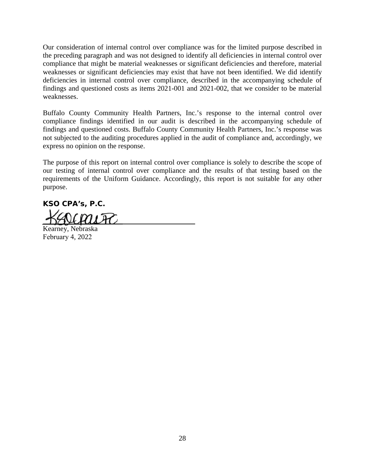Our consideration of internal control over compliance was for the limited purpose described in the preceding paragraph and was not designed to identify all deficiencies in internal control over compliance that might be material weaknesses or significant deficiencies and therefore, material weaknesses or significant deficiencies may exist that have not been identified. We did identify deficiencies in internal control over compliance, described in the accompanying schedule of findings and questioned costs as items 2021-001 and 2021-002, that we consider to be material weaknesses.

Buffalo County Community Health Partners, Inc.'s response to the internal control over compliance findings identified in our audit is described in the accompanying schedule of findings and questioned costs. Buffalo County Community Health Partners, Inc.'s response was not subjected to the auditing procedures applied in the audit of compliance and, accordingly, we express no opinion on the response.

The purpose of this report on internal control over compliance is solely to describe the scope of our testing of internal control over compliance and the results of that testing based on the requirements of the Uniform Guidance. Accordingly, this report is not suitable for any other purpose.

**KSO CPA's, P.C.** 

Kearney, Nebraska February 4, 2022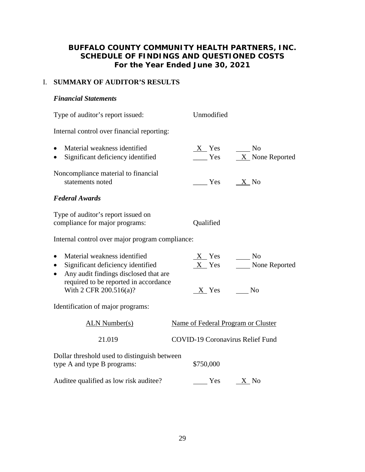# I. **SUMMARY OF AUDITOR'S RESULTS**

# *Financial Statements*

Type of auditor's report issued: Unmodified Internal control over financial reporting: Material weakness identified X Yes No • Significant deficiency identified  $\frac{\ }{2}$  Yes  $\frac{X}{X}$  None Reported Noncompliance material to financial statements noted  $\begin{array}{ccc} Yes & & X & No \end{array}$ *Federal Awards*  Type of auditor's report issued on compliance for major programs: Qualified Internal control over major program compliance: • Material weakness identified  $X$  Yes  $\sim$  No • Significant deficiency identified  $X$  Yes None Reported • Any audit findings disclosed that are required to be reported in accordance With 2 CFR 200.516(a)? X Yes No Identification of major programs: ALN Number(s) Name of Federal Program or Cluster 21.019 COVID-19 Coronavirus Relief Fund Dollar threshold used to distinguish between type A and type B programs:  $$750,000$ Auditee qualified as low risk auditee?  $Yes$   $X$  No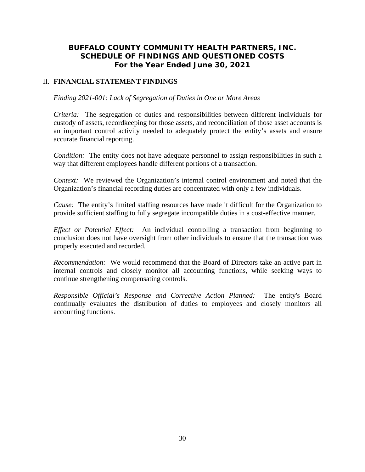# II. **FINANCIAL STATEMENT FINDINGS**

## *Finding 2021-001: Lack of Segregation of Duties in One or More Areas*

*Criteria:* The segregation of duties and responsibilities between different individuals for custody of assets, recordkeeping for those assets, and reconciliation of those asset accounts is an important control activity needed to adequately protect the entity's assets and ensure accurate financial reporting.

*Condition:* The entity does not have adequate personnel to assign responsibilities in such a way that different employees handle different portions of a transaction.

*Context:* We reviewed the Organization's internal control environment and noted that the Organization's financial recording duties are concentrated with only a few individuals.

*Cause:* The entity's limited staffing resources have made it difficult for the Organization to provide sufficient staffing to fully segregate incompatible duties in a cost-effective manner.

*Effect or Potential Effect:* An individual controlling a transaction from beginning to conclusion does not have oversight from other individuals to ensure that the transaction was properly executed and recorded.

*Recommendation:* We would recommend that the Board of Directors take an active part in internal controls and closely monitor all accounting functions, while seeking ways to continue strengthening compensating controls.

*Responsible Official's Response and Corrective Action Planned:* The entity's Board continually evaluates the distribution of duties to employees and closely monitors all accounting functions.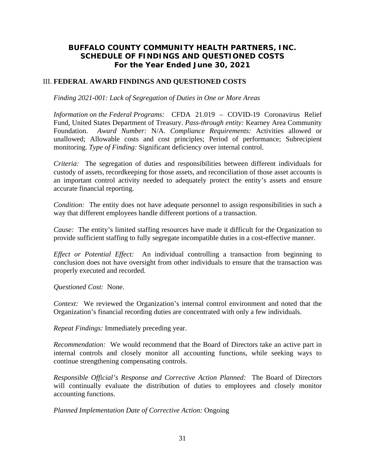# III. **FEDERAL AWARD FINDINGS AND QUESTIONED COSTS**

*Finding 2021-001: Lack of Segregation of Duties in One or More Areas* 

 *Information on the Federal Programs:* CFDA 21.019 – COVID-19 Coronavirus Relief Fund, United States Department of Treasury. *Pass-through entity:* Kearney Area Community Foundation. *Award Number:* N/A. *Compliance Requirements:* Activities allowed or unallowed; Allowable costs and cost principles; Period of performance; Subrecipient monitoring. *Type of Finding:* Significant deficiency over internal control.

*Criteria:* The segregation of duties and responsibilities between different individuals for custody of assets, recordkeeping for those assets, and reconciliation of those asset accounts is an important control activity needed to adequately protect the entity's assets and ensure accurate financial reporting.

*Condition:* The entity does not have adequate personnel to assign responsibilities in such a way that different employees handle different portions of a transaction.

*Cause:* The entity's limited staffing resources have made it difficult for the Organization to provide sufficient staffing to fully segregate incompatible duties in a cost-effective manner.

*Effect or Potential Effect:* An individual controlling a transaction from beginning to conclusion does not have oversight from other individuals to ensure that the transaction was properly executed and recorded.

*Questioned Cost:* None.

*Context:* We reviewed the Organization's internal control environment and noted that the Organization's financial recording duties are concentrated with only a few individuals.

*Repeat Findings:* Immediately preceding year.

*Recommendation:* We would recommend that the Board of Directors take an active part in internal controls and closely monitor all accounting functions, while seeking ways to continue strengthening compensating controls.

*Responsible Official's Response and Corrective Action Planned:* The Board of Directors will continually evaluate the distribution of duties to employees and closely monitor accounting functions.

*Planned Implementation Date of Corrective Action:* Ongoing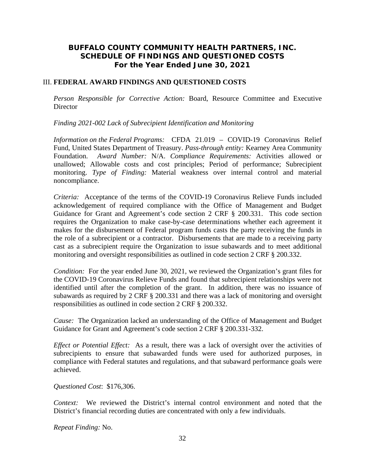# III. **FEDERAL AWARD FINDINGS AND QUESTIONED COSTS**

*Person Responsible for Corrective Action:* Board, Resource Committee and Executive **Director** 

*Finding 2021-002 Lack of Subrecipient Identification and Monitoring* 

 *Information on the Federal Programs:* CFDA 21.019 – COVID-19 Coronavirus Relief Fund, United States Department of Treasury. *Pass-through entity:* Kearney Area Community Foundation. *Award Number:* N/A. *Compliance Requirements:* Activities allowed or unallowed; Allowable costs and cost principles; Period of performance; Subrecipient monitoring. *Type of Finding:* Material weakness over internal control and material noncompliance.

*Criteria:* Acceptance of the terms of the COVID-19 Coronavirus Relieve Funds included acknowledgement of required compliance with the Office of Management and Budget Guidance for Grant and Agreement's code section 2 CRF § 200.331. This code section requires the Organization to make case-by-case determinations whether each agreement it makes for the disbursement of Federal program funds casts the party receiving the funds in the role of a subrecipient or a contractor. Disbursements that are made to a receiving party cast as a subrecipient require the Organization to issue subawards and to meet additional monitoring and oversight responsibilities as outlined in code section 2 CRF § 200.332.

*Condition:* For the year ended June 30, 2021, we reviewed the Organization's grant files for the COVID-19 Coronavirus Relieve Funds and found that subrecipient relationships were not identified until after the completion of the grant. In addition, there was no issuance of subawards as required by 2 CRF § 200.331 and there was a lack of monitoring and oversight responsibilities as outlined in code section 2 CRF § 200.332.

*Cause:* The Organization lacked an understanding of the Office of Management and Budget Guidance for Grant and Agreement's code section 2 CRF § 200.331-332.

*Effect or Potential Effect:* As a result, there was a lack of oversight over the activities of subrecipients to ensure that subawarded funds were used for authorized purposes, in compliance with Federal statutes and regulations, and that subaward performance goals were achieved.

*Questioned Cost*: \$176,306.

*Context:* We reviewed the District's internal control environment and noted that the District's financial recording duties are concentrated with only a few individuals.

*Repeat Finding:* No.